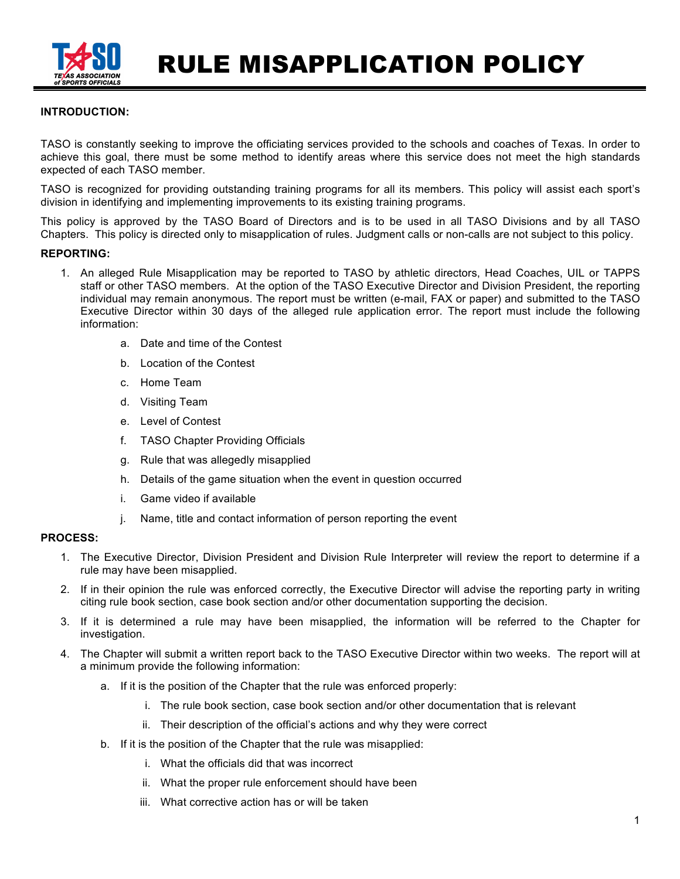

RULE MISAPPLICATION POLICY

## **INTRODUCTION:**

TASO is constantly seeking to improve the officiating services provided to the schools and coaches of Texas. In order to achieve this goal, there must be some method to identify areas where this service does not meet the high standards expected of each TASO member.

TASO is recognized for providing outstanding training programs for all its members. This policy will assist each sport's division in identifying and implementing improvements to its existing training programs.

This policy is approved by the TASO Board of Directors and is to be used in all TASO Divisions and by all TASO Chapters. This policy is directed only to misapplication of rules. Judgment calls or non-calls are not subject to this policy.

#### **REPORTING:**

- 1. An alleged Rule Misapplication may be reported to TASO by athletic directors, Head Coaches, UIL or TAPPS staff or other TASO members. At the option of the TASO Executive Director and Division President, the reporting individual may remain anonymous. The report must be written (e-mail, FAX or paper) and submitted to the TASO Executive Director within 30 days of the alleged rule application error. The report must include the following information:
	- a. Date and time of the Contest
	- b. Location of the Contest
	- c. Home Team
	- d. Visiting Team
	- e. Level of Contest
	- f. TASO Chapter Providing Officials
	- g. Rule that was allegedly misapplied
	- h. Details of the game situation when the event in question occurred
	- i. Game video if available
	- j. Name, title and contact information of person reporting the event

# **PROCESS:**

- 1. The Executive Director, Division President and Division Rule Interpreter will review the report to determine if a rule may have been misapplied.
- 2. If in their opinion the rule was enforced correctly, the Executive Director will advise the reporting party in writing citing rule book section, case book section and/or other documentation supporting the decision.
- 3. If it is determined a rule may have been misapplied, the information will be referred to the Chapter for investigation.
- 4. The Chapter will submit a written report back to the TASO Executive Director within two weeks. The report will at a minimum provide the following information:
	- a. If it is the position of the Chapter that the rule was enforced properly:
		- i. The rule book section, case book section and/or other documentation that is relevant
		- ii. Their description of the official's actions and why they were correct
	- b. If it is the position of the Chapter that the rule was misapplied:
		- i. What the officials did that was incorrect
		- ii. What the proper rule enforcement should have been
		- iii. What corrective action has or will be taken